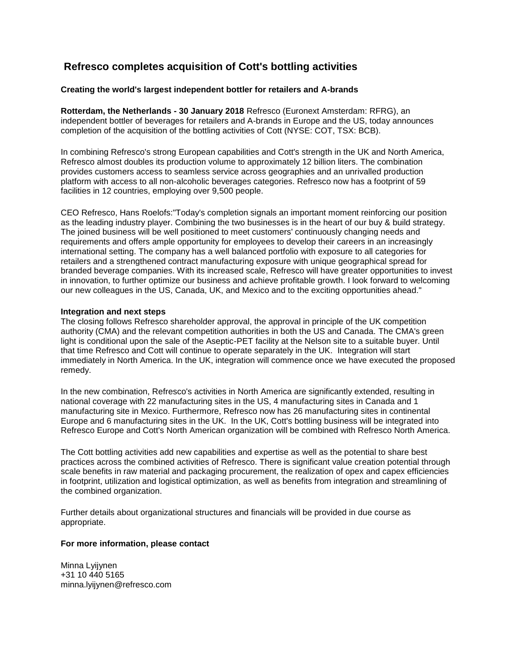# **Refresco completes acquisition of Cott's bottling activities**

## **Creating the world's largest independent bottler for retailers and A-brands**

**Rotterdam, the Netherlands - 30 January 2018** Refresco (Euronext Amsterdam: RFRG), an independent bottler of beverages for retailers and A-brands in Europe and the US, today announces completion of the acquisition of the bottling activities of Cott (NYSE: COT, TSX: BCB).

In combining Refresco's strong European capabilities and Cott's strength in the UK and North America, Refresco almost doubles its production volume to approximately 12 billion liters. The combination provides customers access to seamless service across geographies and an unrivalled production platform with access to all non-alcoholic beverages categories. Refresco now has a footprint of 59 facilities in 12 countries, employing over 9,500 people.

CEO Refresco, Hans Roelofs:"Today's completion signals an important moment reinforcing our position as the leading industry player. Combining the two businesses is in the heart of our buy & build strategy. The joined business will be well positioned to meet customers' continuously changing needs and requirements and offers ample opportunity for employees to develop their careers in an increasingly international setting. The company has a well balanced portfolio with exposure to all categories for retailers and a strengthened contract manufacturing exposure with unique geographical spread for branded beverage companies. With its increased scale, Refresco will have greater opportunities to invest in innovation, to further optimize our business and achieve profitable growth. I look forward to welcoming our new colleagues in the US, Canada, UK, and Mexico and to the exciting opportunities ahead."

### **Integration and next steps**

The closing follows Refresco shareholder approval, the approval in principle of the UK competition authority (CMA) and the relevant competition authorities in both the US and Canada. The CMA's green light is conditional upon the sale of the Aseptic-PET facility at the Nelson site to a suitable buyer. Until that time Refresco and Cott will continue to operate separately in the UK. Integration will start immediately in North America. In the UK, integration will commence once we have executed the proposed remedy.

In the new combination, Refresco's activities in North America are significantly extended, resulting in national coverage with 22 manufacturing sites in the US, 4 manufacturing sites in Canada and 1 manufacturing site in Mexico. Furthermore, Refresco now has 26 manufacturing sites in continental Europe and 6 manufacturing sites in the UK. In the UK, Cott's bottling business will be integrated into Refresco Europe and Cott's North American organization will be combined with Refresco North America.

The Cott bottling activities add new capabilities and expertise as well as the potential to share best practices across the combined activities of Refresco. There is significant value creation potential through scale benefits in raw material and packaging procurement, the realization of opex and capex efficiencies in footprint, utilization and logistical optimization, as well as benefits from integration and streamlining of the combined organization.

Further details about organizational structures and financials will be provided in due course as appropriate.

### **For more information, please contact**

Minna Lyijynen +31 10 440 5165 minna.lyijynen@refresco.com